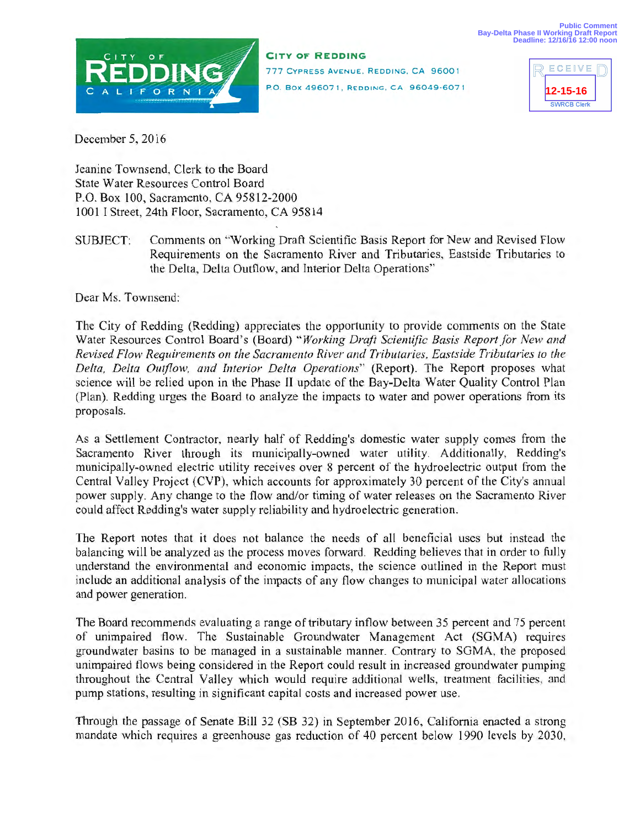

**CITY OF REDDING**  777 CYPRESS AVENUE, REDDING, CA 96001 P.O. Box 496071, REDDING, CA 96049-6071



December 5, 2016

Jeanine Townsend, Clerk to the Board State Water Resources Control Board P.O. Box 100, Sacramento, CA 95812-2000 1001 I Street, 24th Floor, Sacramento, CA 95814

SUBJECT: Comments on "Working Draft Scientific Basis Report for New and Revised Flow Requirements on the Sacramento River and Tributaries, Eastside Tributaries to the Delta, Delta Outflow, and Interior Delta Operations"

Dear Ms. Townsend:

The City of Redding (Redding) appreciates the opportunity to provide comments on the State Water Resources Control Board's (Board) *"Working Draft Scientific Basis Report for New and Revised Flow Requirements on the Sacramento River and Tributaries, Eastside Tributaries to the Delta, Delta Outflow, and Interior Delta Operations"* (Report). The Report proposes what science will be relied upon in the Phase II update of the Bay-Delta Water Quality Control Plan (Plan). Redding urges the Board to analyze the impacts to water and power operations from its proposals.

As a Settlement Contractor, nearly half of Redding's domestic water supply comes from the Sacramento River through its municipally-owned water utility. Additionally, Redding's municipally-owned electric utility receives over 8 percent of the hydroelectric output from the Central Valley Project (CVP), which accounts for approximately 30 percent of the City's annual power supply. Any change to the flow and/or timing of water releases on the Sacramento River could affect Redding's water supply reliability and hydroelectric generation.

The Report notes that it does not balance the needs of all beneficial uses but instead the balancing will be analyzed as the process moves forward. Redding believes that in order to fully understand the environmental and economic impacts, the science outlined in the Report must include an additional analysis of the impacts of any flow changes to municipal water allocations and power generation.

The Board recommends evaluating a range of tributary inflow between 35 percent and 75 percent of unimpaired flow. The Sustainable Groundwater Management Act (SGMA) requires groundwater basins to be managed in a sustainable manner. Contrary to SGMA, the proposed unimpaired flows being considered in the Report could result in increased groundwater pumping throughout the Central Valley which would require additional wells, treatment facilities, and pump stations, resulting in significant capital costs and increased power use.

Through the passage of Senate Bill 32 (SB 32) in September 2016, Califomia enacted a strong mandate which requires a greenhouse gas reduction of 40 percent below 1990 levels by 2030,